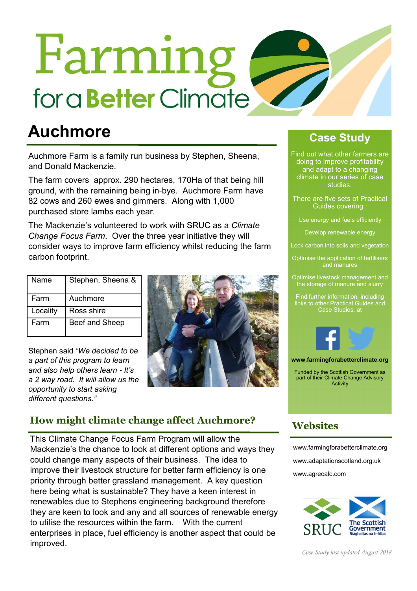# Farming for a **Better** Climate

### Auchmore

Auchmore Farm is a family run business by Stephen, Sheena, and Donald Mackenzie.

The farm covers approx. 290 hectares, 170Ha of that being hill ground, with the remaining being in-bye. Auchmore Farm have 82 cows and 260 ewes and gimmers. Along with 1,000 purchased store lambs each year.

The Mackenzie's volunteered to work with SRUC as a Climate Change Focus Farm. Over the three year initiative they will consider ways to improve farm efficiency whilst reducing the farm carbon footprint.

| Name     | Stephen, Sheena & |
|----------|-------------------|
| Farm     | Auchmore          |
| Locality | Ross shire        |
| Farm     | Beef and Sheep    |

Stephen said "We decided to be a part of this program to learn and also help others learn - It's a 2 way road. It will allow us the opportunity to start asking different questions."



### How might climate change affect Auchmore?

This Climate Change Focus Farm Program will allow the Mackenzie's the chance to look at different options and ways they could change many aspects of their business. The idea to improve their livestock structure for better farm efficiency is one priority through better grassland management. A key question here being what is sustainable? They have a keen interest in renewables due to Stephens engineering background therefore they are keen to look and any and all sources of renewable energy to utilise the resources within the farm. With the current enterprises in place, fuel efficiency is another aspect that could be improved.

### Case Study

Find out what other farmers are doing to improve profitability and adapt to a changing climate in our series of case studies.

There are five sets of Practical Guides covering :

Use energy and fuels efficiently

Develop renewable energy

Lock carbon into soils and vegetation

Optimise the application of fertilisers

Optimise livestock management and the storage of manure and slurry

Find further information, including links to other Practical Guides and Case Studies, at



www.farmingforabetterclimate.org

Funded by the Scottish Government as part of their Climate Change Advisory Activity

### **Websites**

www.farmingforabetterclimate.org www.adaptationscotland.org.uk www.agrecalc.com



Case Study last updated August 2018